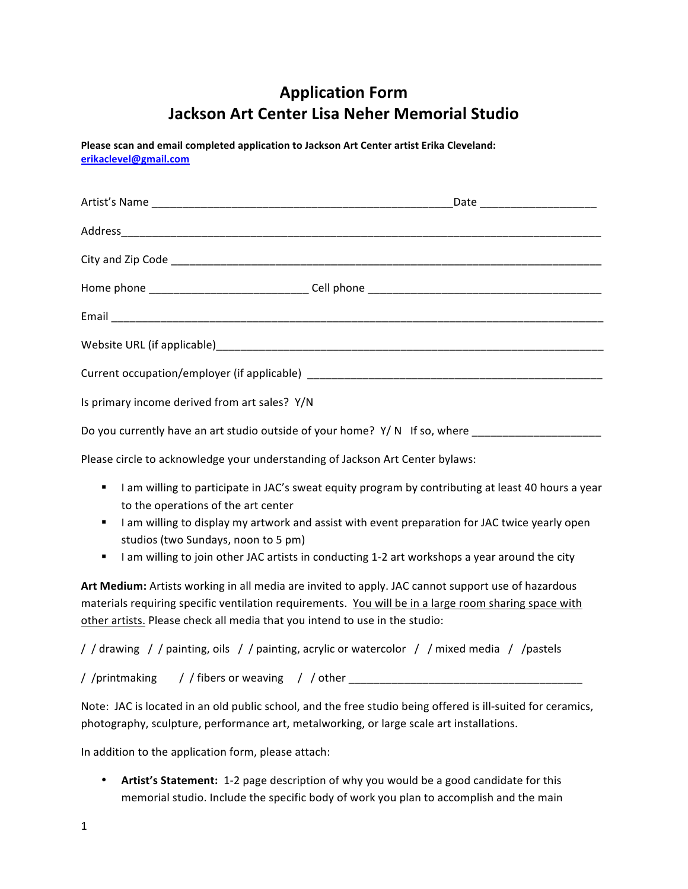## **Application Form Jackson Art Center Lisa Neher Memorial Studio**

Please scan and email completed application to Jackson Art Center artist Erika Cleveland: **erikaclevel@gmail.com**

| Is primary income derived from art sales? Y/N                                                       |  |  |
|-----------------------------------------------------------------------------------------------------|--|--|
| Do you currently have an art studio outside of your home? Y/N If so, where ________________________ |  |  |
|                                                                                                     |  |  |

Please circle to acknowledge your understanding of Jackson Art Center bylaws:

- "I am willing to participate in JAC's sweat equity program by contributing at least 40 hours a year to the operations of the art center
- "I am willing to display my artwork and assist with event preparation for JAC twice yearly open studios (two Sundays, noon to 5 pm)
- "I am willing to join other JAC artists in conducting 1-2 art workshops a year around the city

Art Medium: Artists working in all media are invited to apply. JAC cannot support use of hazardous materials requiring specific ventilation requirements. You will be in a large room sharing space with other artists. Please check all media that you intend to use in the studio:

/ / drawing / / painting, oils / / painting, acrylic or watercolor / / mixed media / / pastels

/ /printmaking / / fibers or weaving / / other \_\_\_\_\_\_\_\_\_\_\_\_\_\_\_\_\_\_\_\_\_\_\_\_\_\_\_\_\_\_\_\_\_

Note: JAC is located in an old public school, and the free studio being offered is ill-suited for ceramics, photography, sculpture, performance art, metalworking, or large scale art installations.

In addition to the application form, please attach:

• Artist's Statement: 1-2 page description of why you would be a good candidate for this memorial studio. Include the specific body of work you plan to accomplish and the main